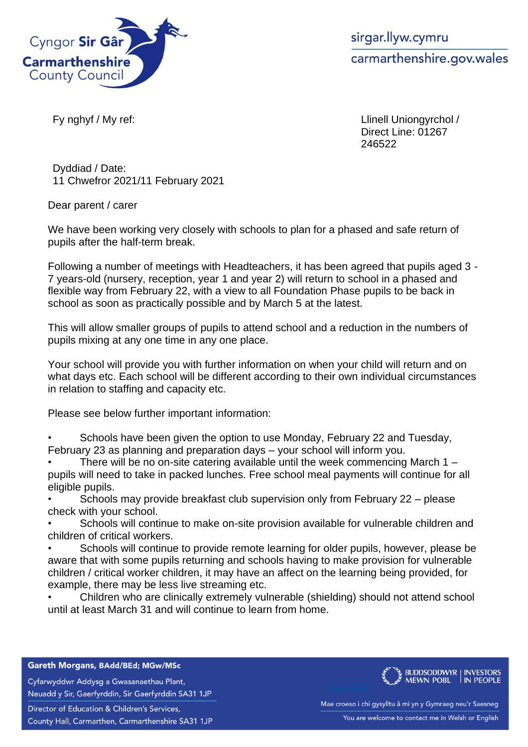

sirgar.llyw.cymru carmarthenshire.gov.wales

Fy nghyf / My ref: Llinell Uniongyrchol / Direct Line: 01267 246522

Dyddiad / Date: 11 Chwefror 2021/11 February 2021

Dear parent / carer

We have been working very closely with schools to plan for a phased and safe return of pupils after the half-term break.

Following a number of meetings with Headteachers, it has been agreed that pupils aged 3 - 7 years-old (nursery, reception, year 1 and year 2) will return to school in a phased and flexible way from February 22, with a view to all Foundation Phase pupils to be back in school as soon as practically possible and by March 5 at the latest.

This will allow smaller groups of pupils to attend school and a reduction in the numbers of pupils mixing at any one time in any one place.

Your school will provide you with further information on when your child will return and on what days etc. Each school will be different according to their own individual circumstances in relation to staffing and capacity etc.

Please see below further important information:

• Schools have been given the option to use Monday, February 22 and Tuesday, February 23 as planning and preparation days – your school will inform you.

• There will be no on-site catering available until the week commencing March 1 – pupils will need to take in packed lunches. Free school meal payments will continue for all eligible pupils.

• Schools may provide breakfast club supervision only from February 22 – please check with your school.

Schools will continue to make on-site provision available for vulnerable children and children of critical workers.

Schools will continue to provide remote learning for older pupils, however, please be aware that with some pupils returning and schools having to make provision for vulnerable children / critical worker children, it may have an affect on the learning being provided, for example, there may be less live streaming etc.

• Children who are clinically extremely vulnerable (shielding) should not attend school until at least March 31 and will continue to learn from home.

Gareth Morgans, BAdd/BEd; MGw/MSc

Cyfarwyddwr Addysg a Gwasanaethau Plant, Neuadd y Sir, Gaerfyrddin, Sir Gaerfyrddin SA31 1JP

Director of Education & Children's Services,

County Hall, Carmarthen, Carmarthenshire SA31 1JP



Mae croeso i chi gysylltu â mi yn y Gymraeg neu'r Saesneg You are welcome to contact me in Welsh or English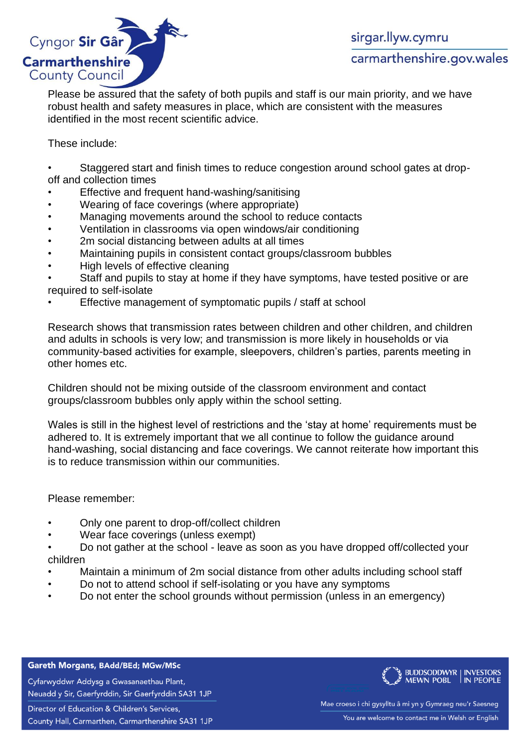

Please be assured that the safety of both pupils and staff is our main priority, and we have robust health and safety measures in place, which are consistent with the measures identified in the most recent scientific advice.

These include:

• Staggered start and finish times to reduce congestion around school gates at dropoff and collection times

- Effective and frequent hand-washing/sanitising
- Wearing of face coverings (where appropriate)
- Managing movements around the school to reduce contacts
- Ventilation in classrooms via open windows/air conditioning
- 2m social distancing between adults at all times
- Maintaining pupils in consistent contact groups/classroom bubbles
- High levels of effective cleaning

Staff and pupils to stay at home if they have symptoms, have tested positive or are required to self-isolate

Effective management of symptomatic pupils / staff at school

Research shows that transmission rates between children and other children, and children and adults in schools is very low; and transmission is more likely in households or via community-based activities for example, sleepovers, children's parties, parents meeting in other homes etc.

Children should not be mixing outside of the classroom environment and contact groups/classroom bubbles only apply within the school setting.

Wales is still in the highest level of restrictions and the 'stay at home' requirements must be adhered to. It is extremely important that we all continue to follow the guidance around hand-washing, social distancing and face coverings. We cannot reiterate how important this is to reduce transmission within our communities.

Please remember:

- Only one parent to drop-off/collect children
- Wear face coverings (unless exempt)

• Do not gather at the school - leave as soon as you have dropped off/collected your children

- Maintain a minimum of 2m social distance from other adults including school staff
- Do not to attend school if self-isolating or you have any symptoms
- Do not enter the school grounds without permission (unless in an emergency)

Gareth Morgans, BAdd/BEd; MGw/MSc

Cyfarwyddwr Addysg a Gwasanaethau Plant, Neuadd y Sir, Gaerfyrddin, Sir Gaerfyrddin SA31 1JP

Director of Education & Children's Services, County Hall, Carmarthen, Carmarthenshire SA31 1JP



Mae croeso i chi gysylltu â mi yn y Gymraeg neu'r Saesneg You are welcome to contact me in Welsh or English